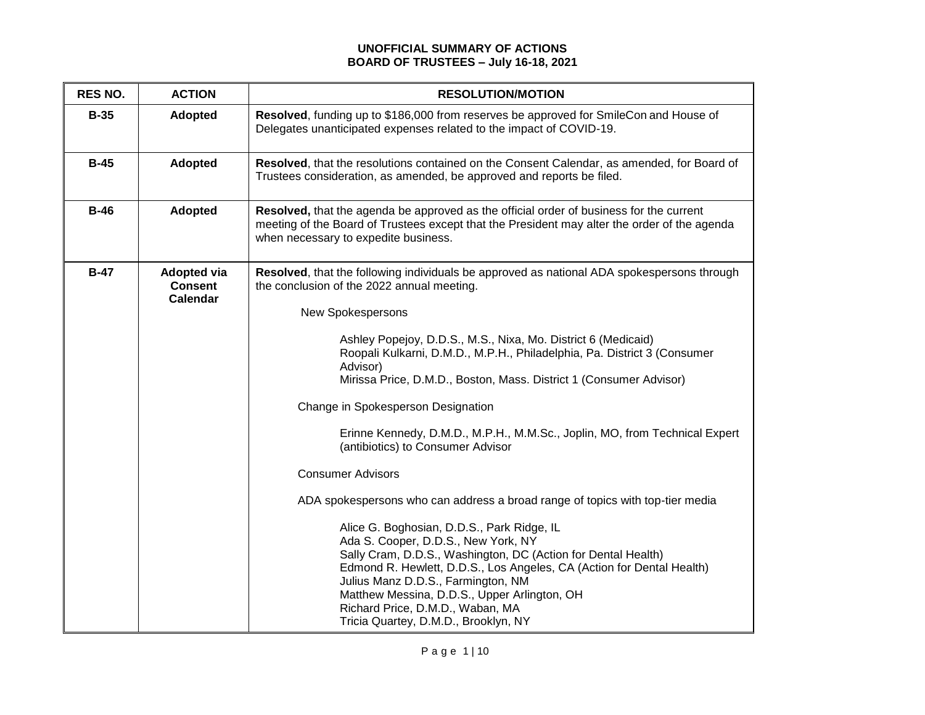## **UNOFFICIAL SUMMARY OF ACTIONS BOARD OF TRUSTEES – July 16-18, 2021**

| <b>Adopted</b><br>$B-35$                                          | Resolved, funding up to \$186,000 from reserves be approved for SmileCon and House of<br>Delegates unanticipated expenses related to the impact of COVID-19.                                                                                                                                                                                                                                                                                                                                                                                                                                                                                                                                                                                                                                                                                                                                                                                                                                                                |
|-------------------------------------------------------------------|-----------------------------------------------------------------------------------------------------------------------------------------------------------------------------------------------------------------------------------------------------------------------------------------------------------------------------------------------------------------------------------------------------------------------------------------------------------------------------------------------------------------------------------------------------------------------------------------------------------------------------------------------------------------------------------------------------------------------------------------------------------------------------------------------------------------------------------------------------------------------------------------------------------------------------------------------------------------------------------------------------------------------------|
| $B-45$<br>Adopted                                                 | Resolved, that the resolutions contained on the Consent Calendar, as amended, for Board of<br>Trustees consideration, as amended, be approved and reports be filed.                                                                                                                                                                                                                                                                                                                                                                                                                                                                                                                                                                                                                                                                                                                                                                                                                                                         |
| $B-46$<br><b>Adopted</b>                                          | Resolved, that the agenda be approved as the official order of business for the current<br>meeting of the Board of Trustees except that the President may alter the order of the agenda<br>when necessary to expedite business.                                                                                                                                                                                                                                                                                                                                                                                                                                                                                                                                                                                                                                                                                                                                                                                             |
| $B-47$<br><b>Adopted via</b><br><b>Consent</b><br><b>Calendar</b> | Resolved, that the following individuals be approved as national ADA spokespersons through<br>the conclusion of the 2022 annual meeting.<br>New Spokespersons<br>Ashley Popejoy, D.D.S., M.S., Nixa, Mo. District 6 (Medicaid)<br>Roopali Kulkarni, D.M.D., M.P.H., Philadelphia, Pa. District 3 (Consumer<br>Advisor)<br>Mirissa Price, D.M.D., Boston, Mass. District 1 (Consumer Advisor)<br>Change in Spokesperson Designation<br>Erinne Kennedy, D.M.D., M.P.H., M.M.Sc., Joplin, MO, from Technical Expert<br>(antibiotics) to Consumer Advisor<br><b>Consumer Advisors</b><br>ADA spokespersons who can address a broad range of topics with top-tier media<br>Alice G. Boghosian, D.D.S., Park Ridge, IL<br>Ada S. Cooper, D.D.S., New York, NY<br>Sally Cram, D.D.S., Washington, DC (Action for Dental Health)<br>Edmond R. Hewlett, D.D.S., Los Angeles, CA (Action for Dental Health)<br>Julius Manz D.D.S., Farmington, NM<br>Matthew Messina, D.D.S., Upper Arlington, OH<br>Richard Price, D.M.D., Waban, MA |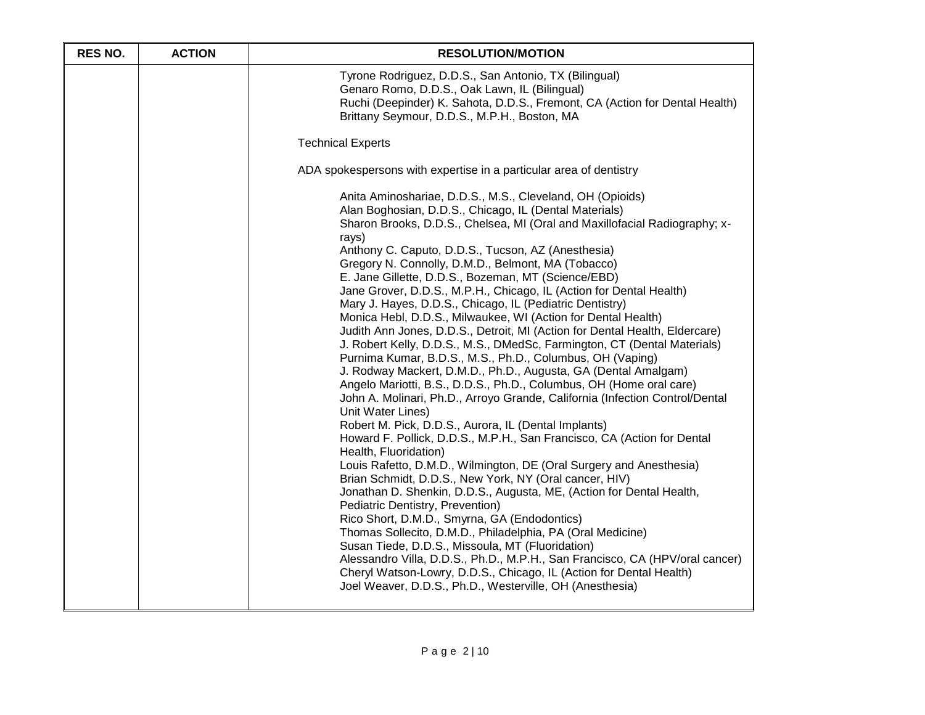| <b>RES NO.</b> | <b>ACTION</b> | <b>RESOLUTION/MOTION</b>                                                                                                                                                                                                                                                                                                                                                                                                                                                                                                                                                                                                                                                                                                                                                                                                                                                                                                                                                                                                                                                                                                                                                                                                                                                                                                                                                                                                                                                                                                                                                                                                                                                                                                                                                                                                                              |
|----------------|---------------|-------------------------------------------------------------------------------------------------------------------------------------------------------------------------------------------------------------------------------------------------------------------------------------------------------------------------------------------------------------------------------------------------------------------------------------------------------------------------------------------------------------------------------------------------------------------------------------------------------------------------------------------------------------------------------------------------------------------------------------------------------------------------------------------------------------------------------------------------------------------------------------------------------------------------------------------------------------------------------------------------------------------------------------------------------------------------------------------------------------------------------------------------------------------------------------------------------------------------------------------------------------------------------------------------------------------------------------------------------------------------------------------------------------------------------------------------------------------------------------------------------------------------------------------------------------------------------------------------------------------------------------------------------------------------------------------------------------------------------------------------------------------------------------------------------------------------------------------------------|
|                |               | Tyrone Rodriguez, D.D.S., San Antonio, TX (Bilingual)<br>Genaro Romo, D.D.S., Oak Lawn, IL (Bilingual)<br>Ruchi (Deepinder) K. Sahota, D.D.S., Fremont, CA (Action for Dental Health)<br>Brittany Seymour, D.D.S., M.P.H., Boston, MA                                                                                                                                                                                                                                                                                                                                                                                                                                                                                                                                                                                                                                                                                                                                                                                                                                                                                                                                                                                                                                                                                                                                                                                                                                                                                                                                                                                                                                                                                                                                                                                                                 |
|                |               | <b>Technical Experts</b>                                                                                                                                                                                                                                                                                                                                                                                                                                                                                                                                                                                                                                                                                                                                                                                                                                                                                                                                                                                                                                                                                                                                                                                                                                                                                                                                                                                                                                                                                                                                                                                                                                                                                                                                                                                                                              |
|                |               | ADA spokespersons with expertise in a particular area of dentistry                                                                                                                                                                                                                                                                                                                                                                                                                                                                                                                                                                                                                                                                                                                                                                                                                                                                                                                                                                                                                                                                                                                                                                                                                                                                                                                                                                                                                                                                                                                                                                                                                                                                                                                                                                                    |
|                |               | Anita Aminoshariae, D.D.S., M.S., Cleveland, OH (Opioids)<br>Alan Boghosian, D.D.S., Chicago, IL (Dental Materials)<br>Sharon Brooks, D.D.S., Chelsea, MI (Oral and Maxillofacial Radiography; x-<br>rays)<br>Anthony C. Caputo, D.D.S., Tucson, AZ (Anesthesia)<br>Gregory N. Connolly, D.M.D., Belmont, MA (Tobacco)<br>E. Jane Gillette, D.D.S., Bozeman, MT (Science/EBD)<br>Jane Grover, D.D.S., M.P.H., Chicago, IL (Action for Dental Health)<br>Mary J. Hayes, D.D.S., Chicago, IL (Pediatric Dentistry)<br>Monica Hebl, D.D.S., Milwaukee, WI (Action for Dental Health)<br>Judith Ann Jones, D.D.S., Detroit, MI (Action for Dental Health, Eldercare)<br>J. Robert Kelly, D.D.S., M.S., DMedSc, Farmington, CT (Dental Materials)<br>Purnima Kumar, B.D.S., M.S., Ph.D., Columbus, OH (Vaping)<br>J. Rodway Mackert, D.M.D., Ph.D., Augusta, GA (Dental Amalgam)<br>Angelo Mariotti, B.S., D.D.S., Ph.D., Columbus, OH (Home oral care)<br>John A. Molinari, Ph.D., Arroyo Grande, California (Infection Control/Dental<br>Unit Water Lines)<br>Robert M. Pick, D.D.S., Aurora, IL (Dental Implants)<br>Howard F. Pollick, D.D.S., M.P.H., San Francisco, CA (Action for Dental<br>Health, Fluoridation)<br>Louis Rafetto, D.M.D., Wilmington, DE (Oral Surgery and Anesthesia)<br>Brian Schmidt, D.D.S., New York, NY (Oral cancer, HIV)<br>Jonathan D. Shenkin, D.D.S., Augusta, ME, (Action for Dental Health,<br>Pediatric Dentistry, Prevention)<br>Rico Short, D.M.D., Smyrna, GA (Endodontics)<br>Thomas Sollecito, D.M.D., Philadelphia, PA (Oral Medicine)<br>Susan Tiede, D.D.S., Missoula, MT (Fluoridation)<br>Alessandro Villa, D.D.S., Ph.D., M.P.H., San Francisco, CA (HPV/oral cancer)<br>Cheryl Watson-Lowry, D.D.S., Chicago, IL (Action for Dental Health)<br>Joel Weaver, D.D.S., Ph.D., Westerville, OH (Anesthesia) |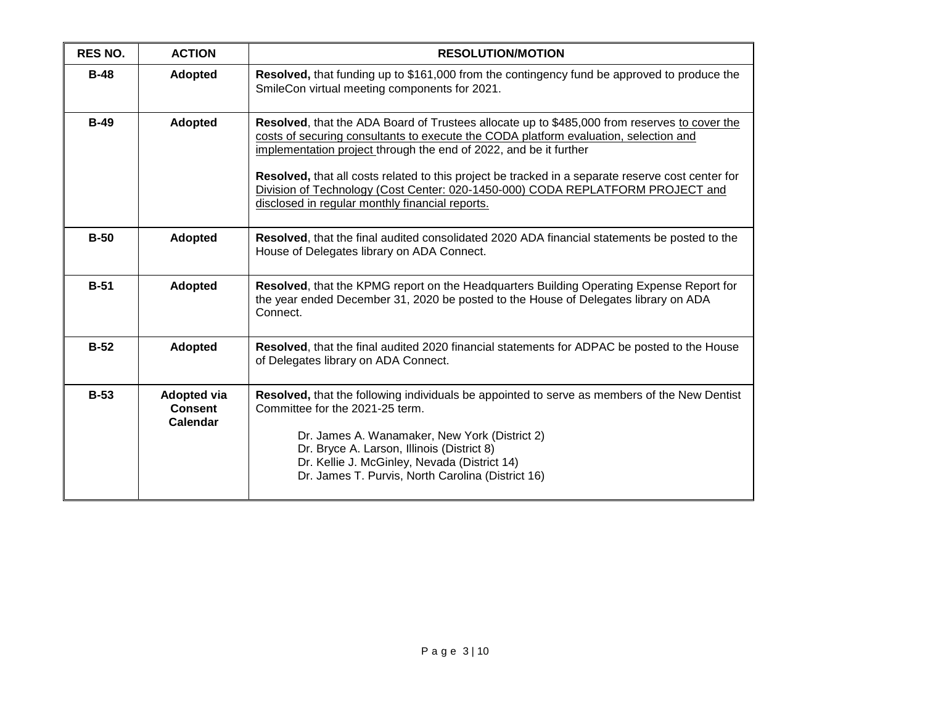| <b>RES NO.</b> | <b>ACTION</b>                                           | <b>RESOLUTION/MOTION</b>                                                                                                                                                                                                                                                                                                                                                                                                                                                                            |
|----------------|---------------------------------------------------------|-----------------------------------------------------------------------------------------------------------------------------------------------------------------------------------------------------------------------------------------------------------------------------------------------------------------------------------------------------------------------------------------------------------------------------------------------------------------------------------------------------|
| $B-48$         | <b>Adopted</b>                                          | Resolved, that funding up to \$161,000 from the contingency fund be approved to produce the<br>SmileCon virtual meeting components for 2021.                                                                                                                                                                                                                                                                                                                                                        |
| $B-49$         | <b>Adopted</b>                                          | Resolved, that the ADA Board of Trustees allocate up to \$485,000 from reserves to cover the<br>costs of securing consultants to execute the CODA platform evaluation, selection and<br>implementation project through the end of 2022, and be it further<br>Resolved, that all costs related to this project be tracked in a separate reserve cost center for<br>Division of Technology (Cost Center: 020-1450-000) CODA REPLATFORM PROJECT and<br>disclosed in regular monthly financial reports. |
| $B-50$         | <b>Adopted</b>                                          | Resolved, that the final audited consolidated 2020 ADA financial statements be posted to the<br>House of Delegates library on ADA Connect.                                                                                                                                                                                                                                                                                                                                                          |
| $B-51$         | <b>Adopted</b>                                          | Resolved, that the KPMG report on the Headquarters Building Operating Expense Report for<br>the year ended December 31, 2020 be posted to the House of Delegates library on ADA<br>Connect.                                                                                                                                                                                                                                                                                                         |
| $B-52$         | <b>Adopted</b>                                          | Resolved, that the final audited 2020 financial statements for ADPAC be posted to the House<br>of Delegates library on ADA Connect.                                                                                                                                                                                                                                                                                                                                                                 |
| $B-53$         | <b>Adopted via</b><br><b>Consent</b><br><b>Calendar</b> | Resolved, that the following individuals be appointed to serve as members of the New Dentist<br>Committee for the 2021-25 term.<br>Dr. James A. Wanamaker, New York (District 2)<br>Dr. Bryce A. Larson, Illinois (District 8)<br>Dr. Kellie J. McGinley, Nevada (District 14)<br>Dr. James T. Purvis, North Carolina (District 16)                                                                                                                                                                 |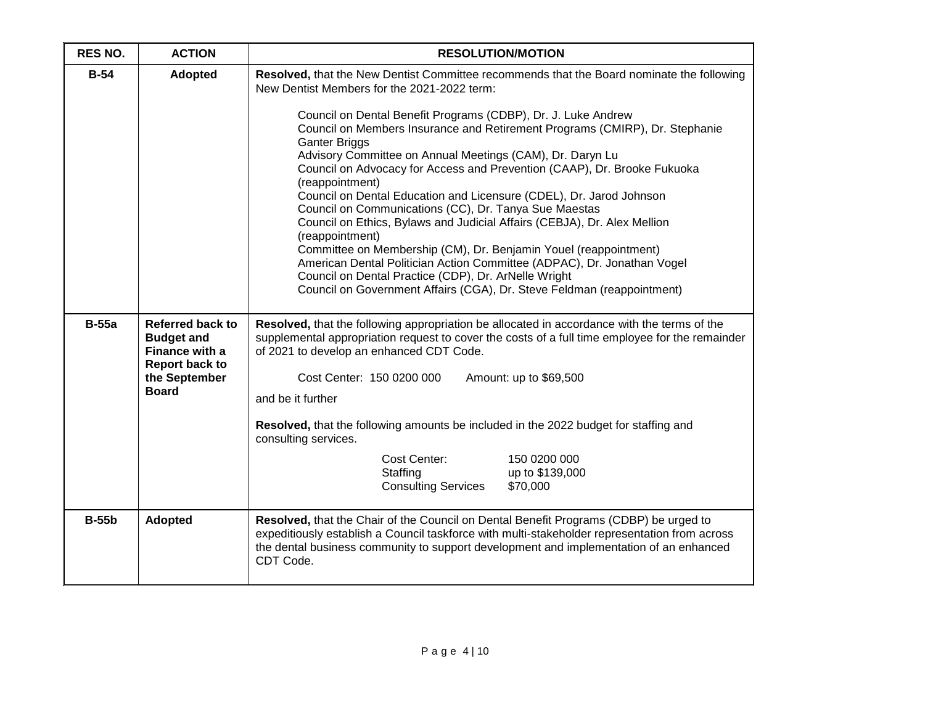| <b>RES NO.</b> | <b>ACTION</b>                                                                                                            | <b>RESOLUTION/MOTION</b>                                                                                                                                                                                                                                                                                                                                                                                                                                                                                                                                                                                    |
|----------------|--------------------------------------------------------------------------------------------------------------------------|-------------------------------------------------------------------------------------------------------------------------------------------------------------------------------------------------------------------------------------------------------------------------------------------------------------------------------------------------------------------------------------------------------------------------------------------------------------------------------------------------------------------------------------------------------------------------------------------------------------|
| $B-54$         | Adopted                                                                                                                  | Resolved, that the New Dentist Committee recommends that the Board nominate the following<br>New Dentist Members for the 2021-2022 term:<br>Council on Dental Benefit Programs (CDBP), Dr. J. Luke Andrew<br>Council on Members Insurance and Retirement Programs (CMIRP), Dr. Stephanie<br><b>Ganter Briggs</b><br>Advisory Committee on Annual Meetings (CAM), Dr. Daryn Lu                                                                                                                                                                                                                               |
|                |                                                                                                                          | Council on Advocacy for Access and Prevention (CAAP), Dr. Brooke Fukuoka<br>(reappointment)<br>Council on Dental Education and Licensure (CDEL), Dr. Jarod Johnson<br>Council on Communications (CC), Dr. Tanya Sue Maestas<br>Council on Ethics, Bylaws and Judicial Affairs (CEBJA), Dr. Alex Mellion<br>(reappointment)<br>Committee on Membership (CM), Dr. Benjamin Youel (reappointment)<br>American Dental Politician Action Committee (ADPAC), Dr. Jonathan Vogel<br>Council on Dental Practice (CDP), Dr. ArNelle Wright<br>Council on Government Affairs (CGA), Dr. Steve Feldman (reappointment) |
| <b>B-55a</b>   | <b>Referred back to</b><br><b>Budget and</b><br>Finance with a<br><b>Report back to</b><br>the September<br><b>Board</b> | Resolved, that the following appropriation be allocated in accordance with the terms of the<br>supplemental appropriation request to cover the costs of a full time employee for the remainder<br>of 2021 to develop an enhanced CDT Code.<br>Cost Center: 150 0200 000<br>Amount: up to \$69,500<br>and be it further<br>Resolved, that the following amounts be included in the 2022 budget for staffing and<br>consulting services.<br>Cost Center:<br>150 0200 000<br>Staffing<br>up to \$139,000<br><b>Consulting Services</b><br>\$70,000                                                             |
| <b>B-55b</b>   | <b>Adopted</b>                                                                                                           | Resolved, that the Chair of the Council on Dental Benefit Programs (CDBP) be urged to<br>expeditiously establish a Council taskforce with multi-stakeholder representation from across<br>the dental business community to support development and implementation of an enhanced<br>CDT Code.                                                                                                                                                                                                                                                                                                               |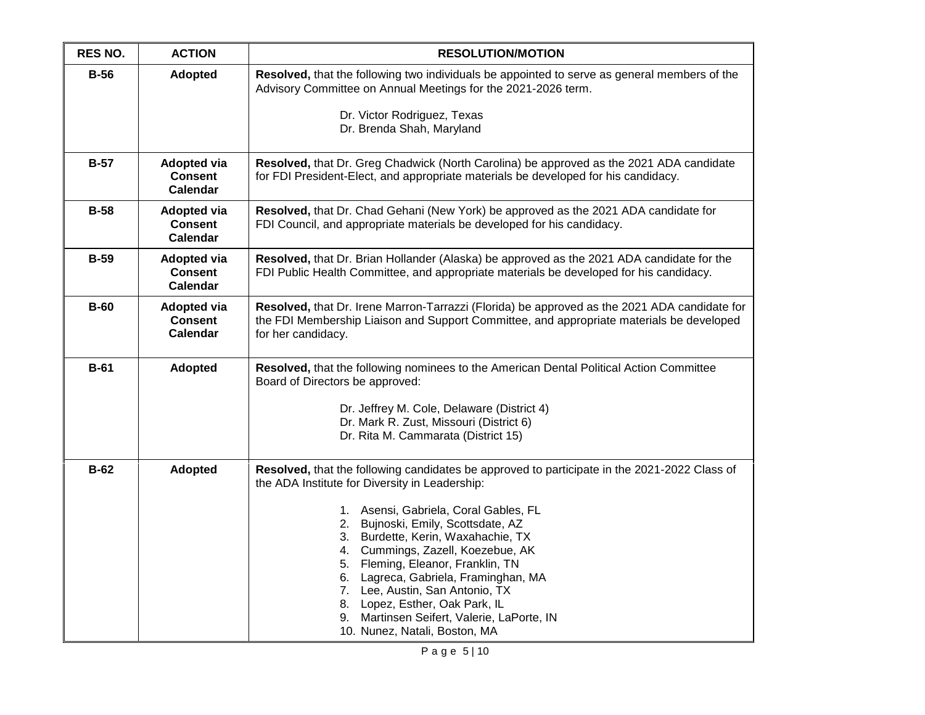| <b>RES NO.</b> | <b>ACTION</b>                                           | <b>RESOLUTION/MOTION</b>                                                                                                                                                                                                                                                                                                                                                                                                                                                                                                                  |
|----------------|---------------------------------------------------------|-------------------------------------------------------------------------------------------------------------------------------------------------------------------------------------------------------------------------------------------------------------------------------------------------------------------------------------------------------------------------------------------------------------------------------------------------------------------------------------------------------------------------------------------|
| $B-56$         | <b>Adopted</b>                                          | Resolved, that the following two individuals be appointed to serve as general members of the<br>Advisory Committee on Annual Meetings for the 2021-2026 term.                                                                                                                                                                                                                                                                                                                                                                             |
|                |                                                         | Dr. Victor Rodriguez, Texas<br>Dr. Brenda Shah, Maryland                                                                                                                                                                                                                                                                                                                                                                                                                                                                                  |
| $B-57$         | <b>Adopted via</b><br><b>Consent</b><br><b>Calendar</b> | Resolved, that Dr. Greg Chadwick (North Carolina) be approved as the 2021 ADA candidate<br>for FDI President-Elect, and appropriate materials be developed for his candidacy.                                                                                                                                                                                                                                                                                                                                                             |
| $B-58$         | <b>Adopted via</b><br><b>Consent</b><br><b>Calendar</b> | Resolved, that Dr. Chad Gehani (New York) be approved as the 2021 ADA candidate for<br>FDI Council, and appropriate materials be developed for his candidacy.                                                                                                                                                                                                                                                                                                                                                                             |
| <b>B-59</b>    | <b>Adopted via</b><br><b>Consent</b><br><b>Calendar</b> | Resolved, that Dr. Brian Hollander (Alaska) be approved as the 2021 ADA candidate for the<br>FDI Public Health Committee, and appropriate materials be developed for his candidacy.                                                                                                                                                                                                                                                                                                                                                       |
| $B-60$         | <b>Adopted via</b><br><b>Consent</b><br>Calendar        | Resolved, that Dr. Irene Marron-Tarrazzi (Florida) be approved as the 2021 ADA candidate for<br>the FDI Membership Liaison and Support Committee, and appropriate materials be developed<br>for her candidacy.                                                                                                                                                                                                                                                                                                                            |
| $B-61$         | Adopted                                                 | Resolved, that the following nominees to the American Dental Political Action Committee<br>Board of Directors be approved:<br>Dr. Jeffrey M. Cole, Delaware (District 4)<br>Dr. Mark R. Zust, Missouri (District 6)<br>Dr. Rita M. Cammarata (District 15)                                                                                                                                                                                                                                                                                |
| $B-62$         | Adopted                                                 | Resolved, that the following candidates be approved to participate in the 2021-2022 Class of<br>the ADA Institute for Diversity in Leadership:<br>1. Asensi, Gabriela, Coral Gables, FL<br>2. Bujnoski, Emily, Scottsdate, AZ<br>3. Burdette, Kerin, Waxahachie, TX<br>4. Cummings, Zazell, Koezebue, AK<br>5. Fleming, Eleanor, Franklin, TN<br>6. Lagreca, Gabriela, Framinghan, MA<br>7. Lee, Austin, San Antonio, TX<br>8. Lopez, Esther, Oak Park, IL<br>9. Martinsen Seifert, Valerie, LaPorte, IN<br>10. Nunez, Natali, Boston, MA |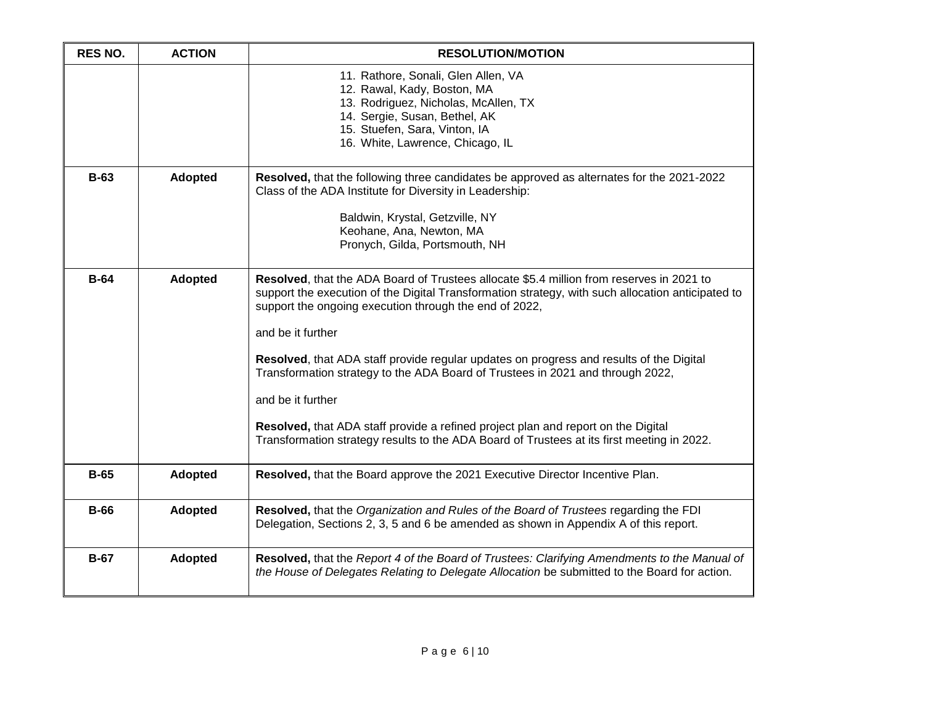| <b>RES NO.</b> | <b>ACTION</b>  | <b>RESOLUTION/MOTION</b>                                                                                                                                                                                                                                                                                                                                                                                                                                                                                                                                                                                                                                          |
|----------------|----------------|-------------------------------------------------------------------------------------------------------------------------------------------------------------------------------------------------------------------------------------------------------------------------------------------------------------------------------------------------------------------------------------------------------------------------------------------------------------------------------------------------------------------------------------------------------------------------------------------------------------------------------------------------------------------|
|                |                | 11. Rathore, Sonali, Glen Allen, VA<br>12. Rawal, Kady, Boston, MA<br>13. Rodriguez, Nicholas, McAllen, TX<br>14. Sergie, Susan, Bethel, AK<br>15. Stuefen, Sara, Vinton, IA<br>16. White, Lawrence, Chicago, IL                                                                                                                                                                                                                                                                                                                                                                                                                                                  |
| $B-63$         | <b>Adopted</b> | Resolved, that the following three candidates be approved as alternates for the 2021-2022<br>Class of the ADA Institute for Diversity in Leadership:<br>Baldwin, Krystal, Getzville, NY<br>Keohane, Ana, Newton, MA<br>Pronych, Gilda, Portsmouth, NH                                                                                                                                                                                                                                                                                                                                                                                                             |
| $B-64$         | <b>Adopted</b> | Resolved, that the ADA Board of Trustees allocate \$5.4 million from reserves in 2021 to<br>support the execution of the Digital Transformation strategy, with such allocation anticipated to<br>support the ongoing execution through the end of 2022,<br>and be it further<br>Resolved, that ADA staff provide regular updates on progress and results of the Digital<br>Transformation strategy to the ADA Board of Trustees in 2021 and through 2022,<br>and be it further<br>Resolved, that ADA staff provide a refined project plan and report on the Digital<br>Transformation strategy results to the ADA Board of Trustees at its first meeting in 2022. |
| $B-65$         | <b>Adopted</b> | Resolved, that the Board approve the 2021 Executive Director Incentive Plan.                                                                                                                                                                                                                                                                                                                                                                                                                                                                                                                                                                                      |
| $B-66$         | Adopted        | Resolved, that the Organization and Rules of the Board of Trustees regarding the FDI<br>Delegation, Sections 2, 3, 5 and 6 be amended as shown in Appendix A of this report.                                                                                                                                                                                                                                                                                                                                                                                                                                                                                      |
| $B-67$         | <b>Adopted</b> | Resolved, that the Report 4 of the Board of Trustees: Clarifying Amendments to the Manual of<br>the House of Delegates Relating to Delegate Allocation be submitted to the Board for action.                                                                                                                                                                                                                                                                                                                                                                                                                                                                      |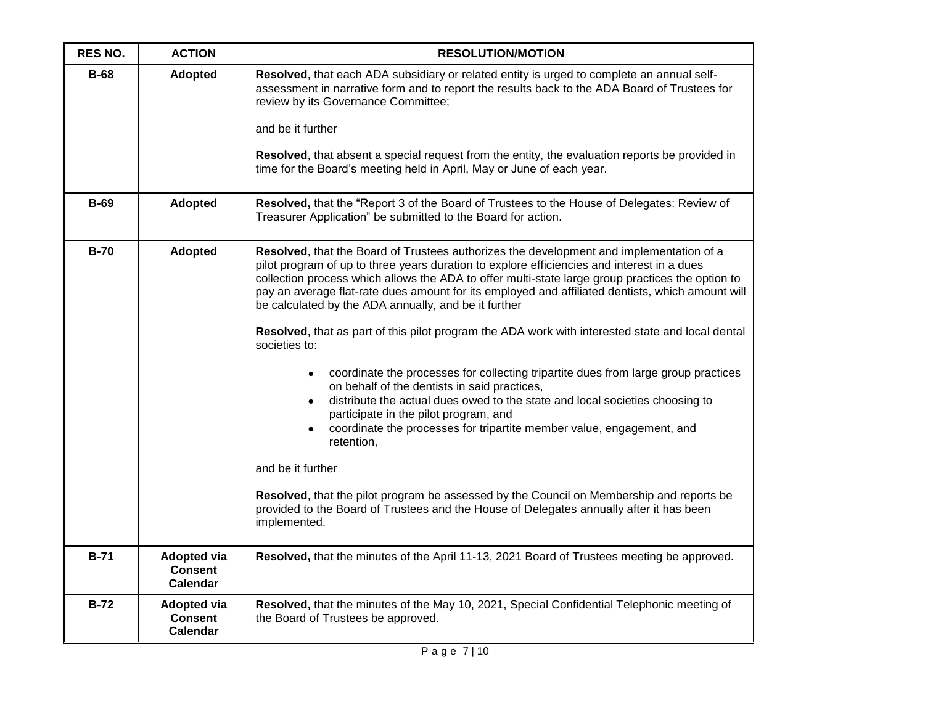| <b>RES NO.</b> | <b>ACTION</b>                                    | <b>RESOLUTION/MOTION</b>                                                                                                                                                                                                                                                                                                                                                                                                                                                                                                                                                                                                                                                                                                                                                                                                                                                                                                                                                                                                                                                                                                                                          |
|----------------|--------------------------------------------------|-------------------------------------------------------------------------------------------------------------------------------------------------------------------------------------------------------------------------------------------------------------------------------------------------------------------------------------------------------------------------------------------------------------------------------------------------------------------------------------------------------------------------------------------------------------------------------------------------------------------------------------------------------------------------------------------------------------------------------------------------------------------------------------------------------------------------------------------------------------------------------------------------------------------------------------------------------------------------------------------------------------------------------------------------------------------------------------------------------------------------------------------------------------------|
| $B-68$         | Adopted                                          | Resolved, that each ADA subsidiary or related entity is urged to complete an annual self-<br>assessment in narrative form and to report the results back to the ADA Board of Trustees for<br>review by its Governance Committee;<br>and be it further<br>Resolved, that absent a special request from the entity, the evaluation reports be provided in<br>time for the Board's meeting held in April, May or June of each year.                                                                                                                                                                                                                                                                                                                                                                                                                                                                                                                                                                                                                                                                                                                                  |
| <b>B-69</b>    | <b>Adopted</b>                                   | Resolved, that the "Report 3 of the Board of Trustees to the House of Delegates: Review of<br>Treasurer Application" be submitted to the Board for action.                                                                                                                                                                                                                                                                                                                                                                                                                                                                                                                                                                                                                                                                                                                                                                                                                                                                                                                                                                                                        |
| $B-70$         | Adopted                                          | Resolved, that the Board of Trustees authorizes the development and implementation of a<br>pilot program of up to three years duration to explore efficiencies and interest in a dues<br>collection process which allows the ADA to offer multi-state large group practices the option to<br>pay an average flat-rate dues amount for its employed and affiliated dentists, which amount will<br>be calculated by the ADA annually, and be it further<br>Resolved, that as part of this pilot program the ADA work with interested state and local dental<br>societies to:<br>coordinate the processes for collecting tripartite dues from large group practices<br>on behalf of the dentists in said practices,<br>distribute the actual dues owed to the state and local societies choosing to<br>٠<br>participate in the pilot program, and<br>coordinate the processes for tripartite member value, engagement, and<br>retention,<br>and be it further<br>Resolved, that the pilot program be assessed by the Council on Membership and reports be<br>provided to the Board of Trustees and the House of Delegates annually after it has been<br>implemented. |
| $B-71$         | <b>Adopted via</b><br><b>Consent</b><br>Calendar | Resolved, that the minutes of the April 11-13, 2021 Board of Trustees meeting be approved.                                                                                                                                                                                                                                                                                                                                                                                                                                                                                                                                                                                                                                                                                                                                                                                                                                                                                                                                                                                                                                                                        |
| $B-72$         | Adopted via<br><b>Consent</b><br><b>Calendar</b> | Resolved, that the minutes of the May 10, 2021, Special Confidential Telephonic meeting of<br>the Board of Trustees be approved.                                                                                                                                                                                                                                                                                                                                                                                                                                                                                                                                                                                                                                                                                                                                                                                                                                                                                                                                                                                                                                  |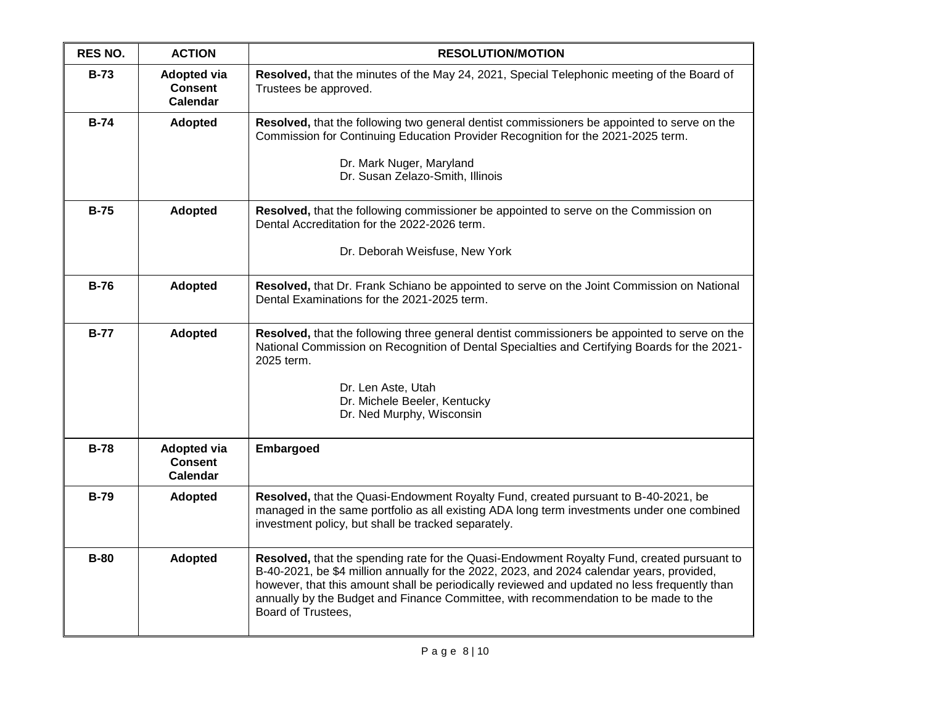| <b>RES NO.</b> | <b>ACTION</b>                                           | <b>RESOLUTION/MOTION</b>                                                                                                                                                                                                                                                                                                                                                                             |
|----------------|---------------------------------------------------------|------------------------------------------------------------------------------------------------------------------------------------------------------------------------------------------------------------------------------------------------------------------------------------------------------------------------------------------------------------------------------------------------------|
| $B-73$         | <b>Adopted via</b><br><b>Consent</b><br><b>Calendar</b> | Resolved, that the minutes of the May 24, 2021, Special Telephonic meeting of the Board of<br>Trustees be approved.                                                                                                                                                                                                                                                                                  |
| $B-74$         | <b>Adopted</b>                                          | Resolved, that the following two general dentist commissioners be appointed to serve on the<br>Commission for Continuing Education Provider Recognition for the 2021-2025 term.<br>Dr. Mark Nuger, Maryland<br>Dr. Susan Zelazo-Smith, Illinois                                                                                                                                                      |
| $B-75$         | Adopted                                                 | <b>Resolved, that the following commissioner be appointed to serve on the Commission on</b><br>Dental Accreditation for the 2022-2026 term.<br>Dr. Deborah Weisfuse, New York                                                                                                                                                                                                                        |
| $B-76$         | <b>Adopted</b>                                          | Resolved, that Dr. Frank Schiano be appointed to serve on the Joint Commission on National<br>Dental Examinations for the 2021-2025 term.                                                                                                                                                                                                                                                            |
| $B-77$         | <b>Adopted</b>                                          | Resolved, that the following three general dentist commissioners be appointed to serve on the<br>National Commission on Recognition of Dental Specialties and Certifying Boards for the 2021-<br>2025 term.<br>Dr. Len Aste, Utah<br>Dr. Michele Beeler, Kentucky<br>Dr. Ned Murphy, Wisconsin                                                                                                       |
| $B-78$         | <b>Adopted via</b><br><b>Consent</b><br><b>Calendar</b> | Embargoed                                                                                                                                                                                                                                                                                                                                                                                            |
| <b>B-79</b>    | <b>Adopted</b>                                          | Resolved, that the Quasi-Endowment Royalty Fund, created pursuant to B-40-2021, be<br>managed in the same portfolio as all existing ADA long term investments under one combined<br>investment policy, but shall be tracked separately.                                                                                                                                                              |
| $B-80$         | Adopted                                                 | Resolved, that the spending rate for the Quasi-Endowment Royalty Fund, created pursuant to<br>B-40-2021, be \$4 million annually for the 2022, 2023, and 2024 calendar years, provided,<br>however, that this amount shall be periodically reviewed and updated no less frequently than<br>annually by the Budget and Finance Committee, with recommendation to be made to the<br>Board of Trustees, |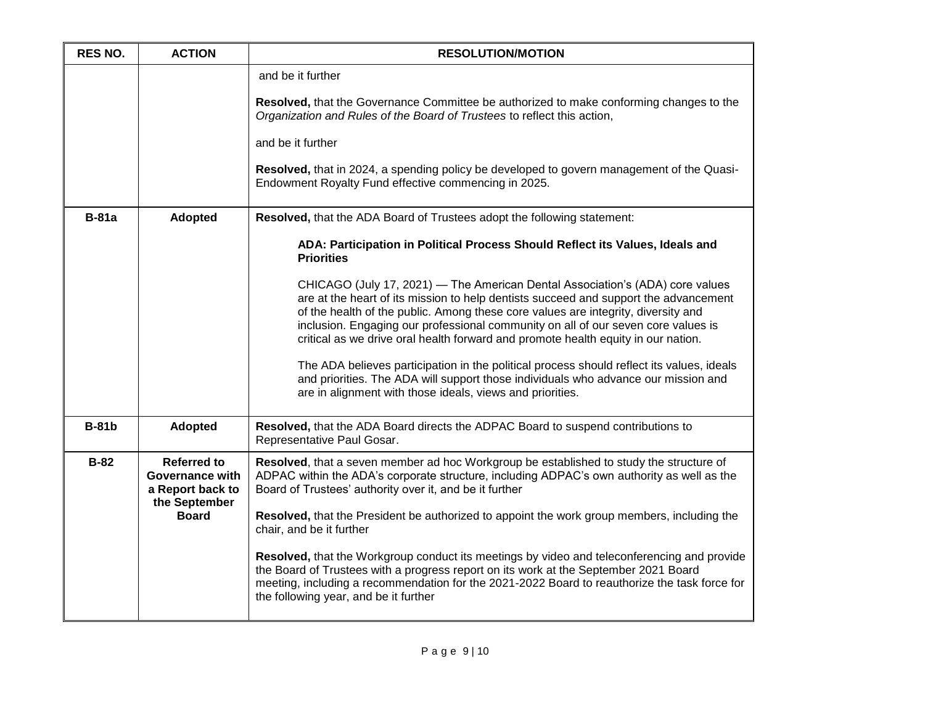| <b>RES NO.</b> | <b>ACTION</b>                                                                     | <b>RESOLUTION/MOTION</b>                                                                                                                                                                                                                                                                                                                                                                                                             |
|----------------|-----------------------------------------------------------------------------------|--------------------------------------------------------------------------------------------------------------------------------------------------------------------------------------------------------------------------------------------------------------------------------------------------------------------------------------------------------------------------------------------------------------------------------------|
|                |                                                                                   | and be it further<br>Resolved, that the Governance Committee be authorized to make conforming changes to the<br>Organization and Rules of the Board of Trustees to reflect this action,<br>and be it further<br>Resolved, that in 2024, a spending policy be developed to govern management of the Quasi-<br>Endowment Royalty Fund effective commencing in 2025.                                                                    |
| $B-81a$        | Adopted                                                                           | Resolved, that the ADA Board of Trustees adopt the following statement:                                                                                                                                                                                                                                                                                                                                                              |
|                |                                                                                   | ADA: Participation in Political Process Should Reflect its Values, Ideals and<br><b>Priorities</b>                                                                                                                                                                                                                                                                                                                                   |
|                |                                                                                   | CHICAGO (July 17, 2021) — The American Dental Association's (ADA) core values<br>are at the heart of its mission to help dentists succeed and support the advancement<br>of the health of the public. Among these core values are integrity, diversity and<br>inclusion. Engaging our professional community on all of our seven core values is<br>critical as we drive oral health forward and promote health equity in our nation. |
|                |                                                                                   | The ADA believes participation in the political process should reflect its values, ideals<br>and priorities. The ADA will support those individuals who advance our mission and<br>are in alignment with those ideals, views and priorities.                                                                                                                                                                                         |
| <b>B-81b</b>   | <b>Adopted</b>                                                                    | Resolved, that the ADA Board directs the ADPAC Board to suspend contributions to<br>Representative Paul Gosar.                                                                                                                                                                                                                                                                                                                       |
| $B-82$         | <b>Referred to</b><br><b>Governance with</b><br>a Report back to<br>the September | Resolved, that a seven member ad hoc Workgroup be established to study the structure of<br>ADPAC within the ADA's corporate structure, including ADPAC's own authority as well as the<br>Board of Trustees' authority over it, and be it further                                                                                                                                                                                     |
|                | <b>Board</b>                                                                      | Resolved, that the President be authorized to appoint the work group members, including the<br>chair, and be it further                                                                                                                                                                                                                                                                                                              |
|                |                                                                                   | Resolved, that the Workgroup conduct its meetings by video and teleconferencing and provide<br>the Board of Trustees with a progress report on its work at the September 2021 Board<br>meeting, including a recommendation for the 2021-2022 Board to reauthorize the task force for<br>the following year, and be it further                                                                                                        |